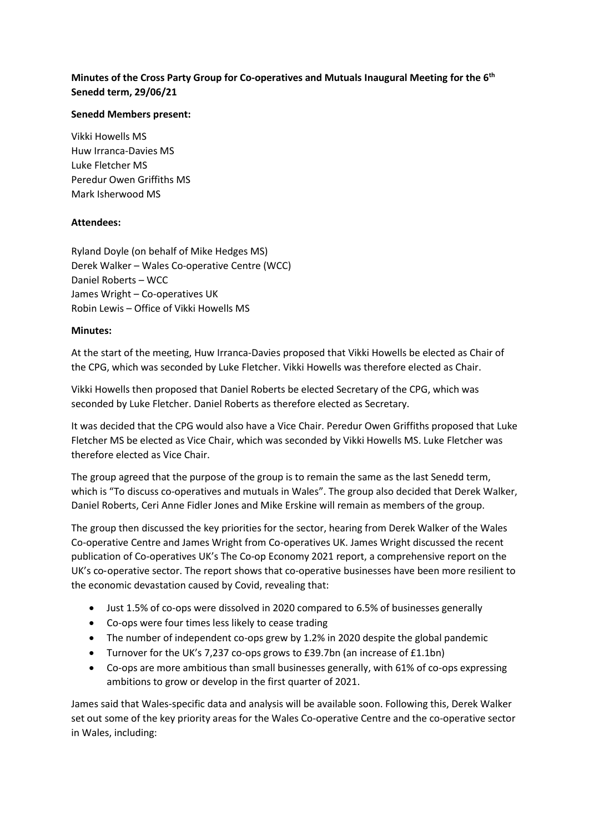## **Minutes of the Cross Party Group for Co-operatives and Mutuals Inaugural Meeting for the 6th Senedd term, 29/06/21**

## **Senedd Members present:**

Vikki Howells MS Huw Irranca-Davies MS Luke Fletcher MS Peredur Owen Griffiths MS Mark Isherwood MS

## **Attendees:**

Ryland Doyle (on behalf of Mike Hedges MS) Derek Walker – Wales Co-operative Centre (WCC) Daniel Roberts – WCC James Wright – Co-operatives UK Robin Lewis – Office of Vikki Howells MS

## **Minutes:**

At the start of the meeting, Huw Irranca-Davies proposed that Vikki Howells be elected as Chair of the CPG, which was seconded by Luke Fletcher. Vikki Howells was therefore elected as Chair.

Vikki Howells then proposed that Daniel Roberts be elected Secretary of the CPG, which was seconded by Luke Fletcher. Daniel Roberts as therefore elected as Secretary.

It was decided that the CPG would also have a Vice Chair. Peredur Owen Griffiths proposed that Luke Fletcher MS be elected as Vice Chair, which was seconded by Vikki Howells MS. Luke Fletcher was therefore elected as Vice Chair.

The group agreed that the purpose of the group is to remain the same as the last Senedd term, which is "To discuss co-operatives and mutuals in Wales". The group also decided that Derek Walker, Daniel Roberts, Ceri Anne Fidler Jones and Mike Erskine will remain as members of the group.

The group then discussed the key priorities for the sector, hearing from Derek Walker of the Wales Co-operative Centre and James Wright from Co-operatives UK. James Wright discussed the recent publication of Co-operatives UK's The Co-op Economy 2021 report, a comprehensive report on the UK's co-operative sector. The report shows that co-operative businesses have been more resilient to the economic devastation caused by Covid, revealing that:

- Just 1.5% of co-ops were dissolved in 2020 compared to 6.5% of businesses generally
- Co-ops were four times less likely to cease trading
- The number of independent co-ops grew by 1.2% in 2020 despite the global pandemic
- Turnover for the UK's 7,237 co-ops grows to £39.7bn (an increase of £1.1bn)
- Co-ops are more ambitious than small businesses generally, with 61% of co-ops expressing ambitions to grow or develop in the first quarter of 2021.

James said that Wales-specific data and analysis will be available soon. Following this, Derek Walker set out some of the key priority areas for the Wales Co-operative Centre and the co-operative sector in Wales, including: